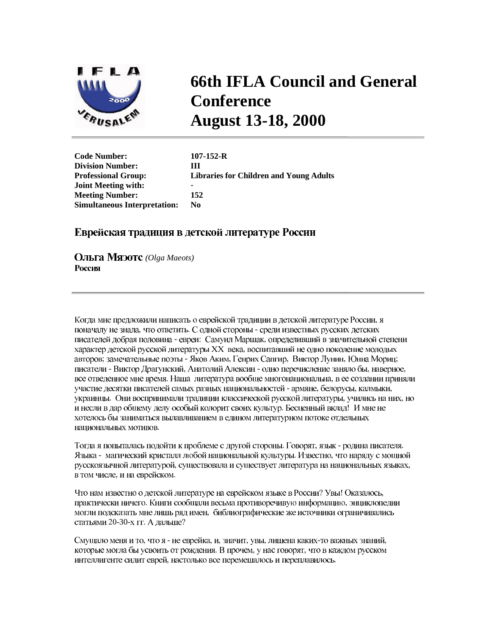

## **66th IFLA Council and General Conference August 13-18, 2000**

**Code Number: 107-152-R Division Number: III Professional Group: Libraries for Children and Young Adults Joint Meeting with:** - **Meeting Number: 152 Simultaneous Interpretation: No** 

## Еврейская традиция в детской литературе России

*(Olga Maeots)* Россия

Когда мне предложили написать о еврейской традиции в детской литературе России, я поначалу не знала, что ответить. С одной стороны - среди известных русских детских писателей добрая половина - евреи: Самуил Маршак, определивший в значительной степени характер детской русской литературы XX века, воспитавший не одно поколение молодых авторов; замечательные поэты - Яков Аким, Генрих Сапгир, Виктор Лунин, Юнна Мориц; писатели - Виктор Драгунский, Анатолий Алексин - одно перечисление заняло бы, наверное, все отведенное мне время. Наша литература вообще многонациональна, в ее создании приняли участие десятки писателей самых разных национальностей - армяне, белорусы, калмыки, украинцы. Они воспринимали традиции классической русской литературы, учились на них, но и несли в дар общему делу особый колорит своих культур. Бесценный вклад! И мне не хотелось бы заниматься вылавливанием в едином литературном потоке отдельных национальных мотивов.

Тогда я попыталась подойти к проблеме с другой стороны. Говорят, язык - родина писателя. Языка - магический кристалл любой национальной культуры. Известно, что наряду с мощной русскоязычной литературой, существовала и существует литература на национальных языках, в том числе, и на еврейском.

Что нам известно о детской литературе на еврейском языке в России? Увы! Оказалось, практически ничего. Книги сообщали весьма противоречивую информацию, энциклопедии могли подсказать мне лишь ряд имен, библиографические же источники ограничивались статьями 20-30-х гг. А дальше?

Смущало меня и то, что я - не еврейка, и, значит, увы, лишена каких-то важных знаний, которые могла бы усвоить от рождения. В прочем, у нас говорят, что в каждом русском интеллигенте сидит еврей, настолько все перемешалось и переплавилось.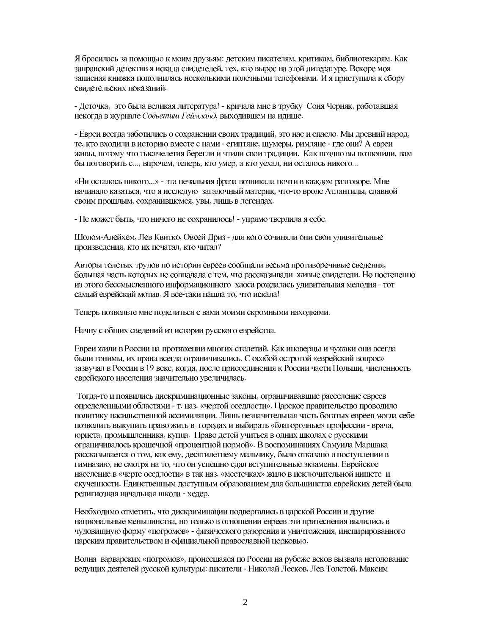Я бросилась за помощью к моим друзьям: детским писателям, критикам, библиотекарям. Как заправский детектив я искала свидетелей, тех, кто вырос на этой литературе. Вскоре моя записная книжка пополнилась несколькими полезными телефонами. И я приступила к сбору свидетельских показаний.

- Деточка, это была великая литература! - кричала мне в трубку Соня Черняк, работавшая некогда в журнале Совьетии Геймланд, выходившем на идише.

- Евреи всегда заботились о сохранении своих традиций, это нас и спасло. Мы древний народ, те, кто входили в историю вместе с нами - египтяне, шумеры, римляне - где они? А евреи живы, потому что тысячелетия берегли и чтили свои традиции. Как поздно вы позвонили, вам бы поговорить с..., впрочем, теперь, кто умер, а кто уехал, ни осталось никого...

«Ни осталось никого...» - эта печальная фраза возникала почти в каждом разговоре. Мне начинало казаться, что я исследую загадочный материк, что-то вроде Атлантиды, славной своим прошлым, сохранившемся, увы, лишь в легендах.

- Не может быть, что ничего не сохранилось! - упрямо твердила я себе.

Шолом-Алейхем, Лев Квитко, Овсей Дриз - для кого сочиняли они свои удивительные произведения, кто их печатал, кто читал?

Авторы толстых трудов по истории евреев сообщали весьма противоречивые сведения, большая часть которых не совпадала с тем, что рассказывали живые свидетели. Но постепенно из этого бессмысленного информационного хаоса рождалась удивительная мелодия - тот самый еврейский мотив. Я все-таки нашла то, что искала!

Теперь позвольте мне поделиться с вами моими скромными находками.

Начну с общих сведений из истории русского еврейства.

Евреи жили в России на протяжении многих столетий. Как иноверцы и чужаки они всегда были гонимы, их права всегда ограничивались. С особой остротой «еврейский вопрос» зазвучал в России в 19 веке, когда, после присоединения к России части Польши, численность еврейского населения значительно увеличилась.

Тогда-то и появились дискриминационные законы, ограничивавшие расселение евреев определенными областями - т. наз. «чертой оседлости». Царское правительство проводило политику насильственной ассимиляции. Лишь незначительная часть богатых евреев могла себе позволить выкупить право жить в городах и выбирать «благородные» профессии - врача, юриста, промышленника, купца. Право детей учиться в одних школах с русскими ограничивалось крошечной «процентной нормой». В воспоминаниях Самуила Маршака рассказывается о том, как ему, десятилетнему мальчику, было отказано в поступлении в гимназию, не смотря на то, что он успешно сдал вступительные экзамены. Еврейское население в «черте оседлости» в так наз. «местечках» жило в исключительной нишете и скученности. Единственным доступным образованием для большинства еврейских детей была религиозная начальная школа - хедер.

Необходимо отметить, что дискриминации подвергались в царской России и другие национальные меньшинства, но только в отношении евреев эти притеснения вылились в чудовищную форму «погромов» - физического разорения и уничтожения, инспирированного царским правительством и официальной православной церковью.

Волна варварских «погромов», пронесшаяся по России на рубеже веков вызвала негодование ведущих деятелей русской культуры: писатели - Николай Лесков, Лев Толстой, Максим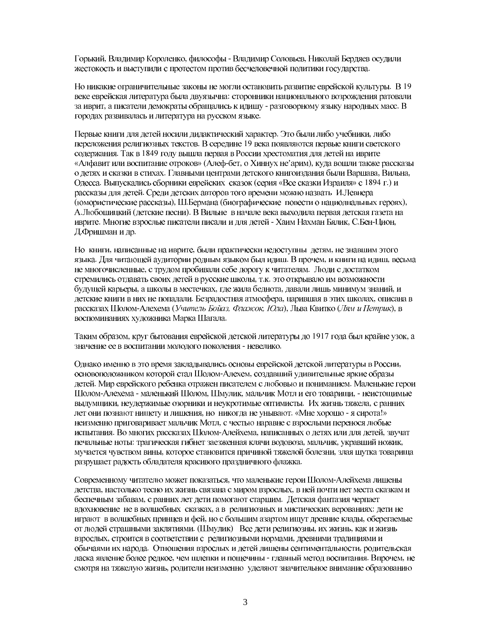Горький, Владимир Короленко, философы - Владимир Соловьев, Николай Бердяев осудили жестокость и выступили с протестом против бесчеловечной политики государства.

Но никакие ограничительные законы не могли остановить развитие еврейской культуры. В 19 веке еврейская литература была двуязычна: сторонники национального возрождения ратовали за иврит, а писатели демократы обращались к идишу - разговорному языку народных масс. В городах развивалась и литература на русском языке.

Первые книги для детей носили дидактический характер. Это были либо учебники, либо переложения религиозных текстов. В середине 19 века появляются первые книги светского содержания. Так в 1849 году вышла первая в России хрестоматия для детей на иврите «Алфавит или воспитание отроков» (Алеф-бет, о Хиннух не'арим), куда вошли также рассказы о детях и сказки в стихах. Главными центрами детского книгоиздания были Варшава, Вильна, Одесса. Выпускались сборники еврейских сказок (серия «Все сказки Израиля» с 1894 г.) и рассказы для детей. Среди детских авторов того времени можно назвать И.Левнера (юмористические рассказы), Ш.Бермана (биографические повести о нациолнальных героях), А.Любошицкий (детские песни). В Вильне в начале века выходила первая детская газета на иврите. Многие взрослые писатели писали и для детей - Хаим Нахман Бялик, С.Бен-Цион, Д.Фришман и др.

Но книги, написанные на иврите, были практически недоступны детям, не знавшим этого языка. Для читающей аудитории родным языком был идиш. В прочем, и книги на идиш, весьма не многочисленные, с трудом пробивали себе дорогу к читателям. Люди с достатком стремились отдавать своих детей в русские школы, т.к. это открывало им возможности будущей карьеры, а школы в местечках, где жила беднота, давали лишь минимум знаний, и детские книги в них не попадали. Безрадостная атмосфера, царившая в этих школах, описана в рассказах Шолом-Алехема (Учитель Бойаз, Флажок, Юла), Льва Квитко (Лям и Петрик), в воспоминаниях художника Марка Шагала.

Таким образом, круг бытования еврейской детской литературы до 1917 года был крайне узок, а значение ее в воспитании молодого поколения - невелико.

Однако именно в это время закладывались основы еврейской детской литературы в России, основоположником которой стал Шолом-Алехем, создавший удивительные яркие образы детей. Мир еврейского ребенка отражен писателем с любовью и пониманием. Маленькие герои Шолом-Алехема - маленький Шолом, Шмулик, мальчик Мотл и его товарищи, - неистощимые выдумщики, неудержимые озорники и неукротимые оптимисты. Их жизнь тяжела, с ранних лет они познают нищету и лишения, но никогда не унывают. «Мне хорошо - я сирота!» неизменно приговаривает мальчик Мотл, с честью наравне с взрослыми перенося любые испытания. Во многих рассказах Шолом-Алейхема, написанных о детях или для детей, звучат печальные ноты: трагическая гибнет заезженная клячи водовоза, мальчик, укравший ножик, мучается чувством вины, которое становится причиной тяжелой болезни, злая шутка товарища разрушает радость обладателя красивого праздничного флажка.

Современному читателю может показаться, что маленькие герои Шолом-Алейхема лишены детства, настолько тесно их жизнь связана с миром взрослых, в ней почти нет места сказкам и беспечным забавам, с ранних лет дети помогают старшим. Детская фантазия черпает вдохновение не в волшебных сказках, а в религиозных и мистических верованиях: дети не играют в волшебных принцев и фей, но с большим азартом ишут древние клады, оберегаемые от людей страшными заклятиями. (Шмулик) Все дети религиозны, их жизнь, как и жизнь взрослых, строится в соответствии с религиозными нормами, древними традициями и обычаями их народа. Отношения взрослых и детей лишены сентиментальности, родительская ласка явление более редкое, чем шлепки и пощечины - главный метод воспитания. Впрочем, не смотря на тяжелую жизнь, родители неизменно уделяют значительное внимание образованию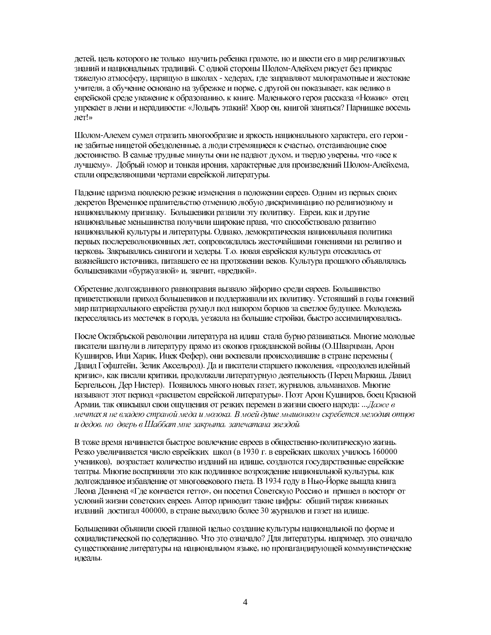детей, цель которого не только научить ребенка грамоте, но и ввести его в мир религиозных знаний и национальных традиций. С одной стороны Шолом-Алейхем рисует без прикрас тяжелую атмосферу, царящую в школах - хедерах, где заправляют малограмотные и жестокие учителя, а обучение основано на зубрежке и порке, с другой он показывает, как велико в еврейской среде уважение к образованию, к книге. Маленького героя рассказа «Ножик» отец упрекает в лени и нерадивости: «Лодырь этакий! Хвор он, книгой заняться? Парнишке восемь лет!»

Шолом-Алехем сумел отразить многообразие и яркость национального характера, его герои не забитые нищетой обездоленные, а люди стремящиеся к счастью, отстаивающие свое достоинство. В самые трудные минуты они не падают духом, и твердо уверены, что «все к лучшему». Добрый юмор и тонкая ирония, характерные для произведений Шолом-Алейхема, стали определяющими чертами еврейской литературы.

Падение царизма повлекло резкие изменения в положении евреев. Одним из первых своих декретов Временное правительство отменило любую дискриминацию по религиозному и национальному признаку. Большевики развили эту политику. Евреи, как и другие национальные меньшинства получили широкие права, что способствовало развитию национальной культуры и литературы. Однако, демократическая национальная политика первых послереволюционных лет, сопровождалась жесточайшими гонениями на религию и церковь. Закрывались синагоги и хедеры. Т.о. новая еврейская культура отсекалась от важнейшего источника, питавшего ее на протяжении веков. Культура прошлого объявлялась большевиками «буржуазной» и, значит, «вредной».

Обретение долгожданного равноправия вызвало эйфорию среди евреев. Большинство приветствовали приход большевиков и поддерживали их политику. Устоявший в годы гонений мир патриархального еврейства рухнул под напором борцов за светлое будущее. Молодежь переселялась из местечек в города, уезжала на большие стройки, быстро ассимилировалась.

После Октябрьской революции литература на идиш стала бурно развиваться. Многие молодые писатели шагнули в литературу прямо из окопов гражданской войны (О.Шварцман, Арон Кушниров, Ици Харик, Ицек Фефер), они воспевали происходившие в стране перемены ( Давид Гофштейн, Зелик Аксельрод). Да и писатели старшего поколения, «преодолев идейный кризис», как писали критики, продолжали литературную деятельность (Перец Маркиш, Давид Бергельсон. Дер Нистер). Появилось много новых газет, журналов, альманахов. Многие называют этот период «расцветом еврейской литературы». Поэт Арон Кушниров, боец Красной Армии, так описывал свои ощущения от резких перемен в жизни своего народа: ... Даже в мечтах я не владею страной меда и молока. В моей душе мышонком скребется мелодия отцов и дедов, но дверь в Шаббат мне закрыта, запечатана звездой.

В тоже время начинается быстрое вовлечение евреев в общественно-политическую жизнь. Резко увеличивается число еврейских школ (в 1930 г. в еврейских школах училось 160000 учеников), возрастает количество изданий на идише, создаются государственные еврейские театры. Многие восприняли это как подлинное возрождение национальной культуры, как долгожданное избавление от многовекового гнета. В 1934 году в Нью-Йорке вышла книга Леона Деннена «Гле кончается гетто», он посетил Советскую Россию и пришел в восторг от условий жизни советских евреев. Автор приводит такие цифры: общий тираж книжных изданий достигал 400000, в стране выходило более 30 журналов и газет на идише.

Большевики объявили своей главной целью создание культуры национальной по форме и социалистической по содержанию. Что это означало? Для литературы, например, это означало существование литературы на национальном языке, но пропагандирующей коммунистические идеалы.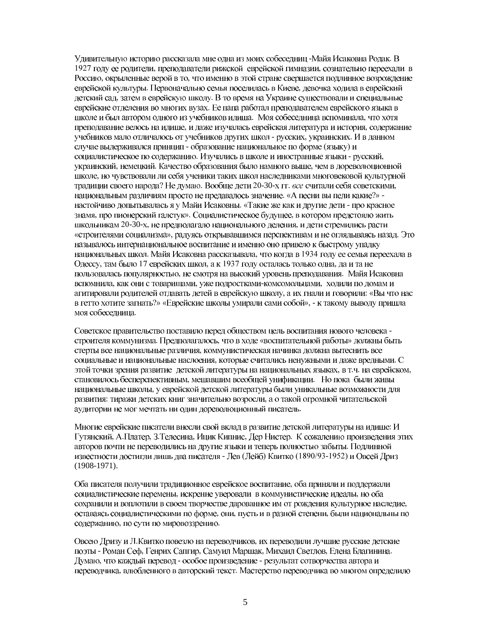Удивительную историю рассказала мне одна из моих собеседниц-Майя Исаковна Родак. В 1927 году ее родители, преподаватели рижской еврейской гимназии, сознательно переехали в Россию, окрыленные верой в то, что именно в этой стране свершается подлинное возрождение еврейской культуры. Первоначально семья поселилась в Киеве, девочка ходила в еврейский детский сад, затем в еврейскую школу. В то время на Украине существовали и специальные еврейские отделения во многих вузах. Ее папа работал преподавателем еврейского языка в школе и был автором одного из учебников идиша. Моя собеседница вспоминала, что хотя преподавание велось на идише, и даже изучалась еврейская литература и история, содержание учебников мало отличалось от учебников других школ - русских, украинских. И в данном случае выдерживался принцип - образование национальное по форме (языку) и социалистическое по содержанию. Изучались в школе и иностранные языки - русский, украинский, немецкий. Качество образования было намного выше, чем в дореволюционной школе, но чувствовали ли себя ученики таких школ наследниками многовековой культурной традиции своего народа? Не думаю. Вообще дети 20-30-х гг. все считали себя советскими, национальным различиям просто не предавалось значение. «А песни вы пели какие?» настойчиво допытывалась я у Майи Исаковны. «Такие же как и другие дети - про красное знамя, про пионерский галстук». Социалистическое будущее, в котором предстояло жить школьникам 20-30-х, не предполагало национального деления, и дети стремились расти «строителями социализма», радуясь открывавшимся перспективам и не оглядываясь назад. Это называлось интернациональное воспитание и именно оно привело к быстрому упадку национальных школ. Майя Исаковна рассказывала, что когда в 1934 году ее семья переехала в Одессу, там было 17 еврейских школ, а к 1937 году осталась только одна, да и та не пользовалась популярностью, не смотря на высокий уровень преподавания. Майя Исаковна вспомнила, как они с товарищами, уже подростками-комсомольцами, ходили по домам и агитировали родителей отдавать детей в еврейскую школу, а их гнали и говорили: «Вы что нас в гетто хотите загнать?» «Еврейские школы умирали сами собой», - к такому выводу пришла моя собеседница.

Советское правительство поставило перед обществом цель воспитания нового человека строителя коммунизма. Предполагалось, что в ходе «воспитательной работы» должны быть стерты все национальные различия, коммунистическая начинка должна вытеснить все социальные и национальные наслоения, которые считались ненужными и даже вредными. С этой точки зрения развитие детской литературы на национальных языках, в т.ч. на еврейском, становилось бесперспективным, мешавшим всеобщей унификации. Но пока были живы национальные школы, у еврейской детской литературы были уникальные возможности для развития: тиражи детских книг значительно возросли, а о такой огромной читательской аудитории не мог мечтать ни один дореволюционный писатель.

Многие еврейские писатели внесли свой вклад в развитие детской литературы на идише: И Гутянский, А.Платер, З.Телесина, Ицик Кипнис, Дер Нистер. К сожалению произведения этих авторов почти не переводились на другие языки и теперь полностью забыты. Подлинной известности достигли лишь два писателя - Лев (Лейб) Квитко (1890/93-1952) и Овсей Дриз (1908-1971).

Оба писателя получили традиционное еврейское воспитание, оба приняли и поддержали социалистические перемены, искренне уверовали в коммунистические идеалы, но оба сохранили и воплотили в своем творчестве дарованное им от рождения культурное наследие, оставаясь социалистическими по форме, они, пусть и в разной степени, были национальны по содержанию, по сути по мировоззрению.

Овсею Дризу и Л. Квитко повезло на переводчиков, их переводили лучшие русские детские поэты - Роман Сеф, Генрих Сапгир, Самуил Маршак, Михаил Светлов, Елена Благинина. Думаю, что каждый перевод - особое произведение - результат сотворчества автора и переводчика, влюбленного в авторский текст. Мастерство переводчика во многом определило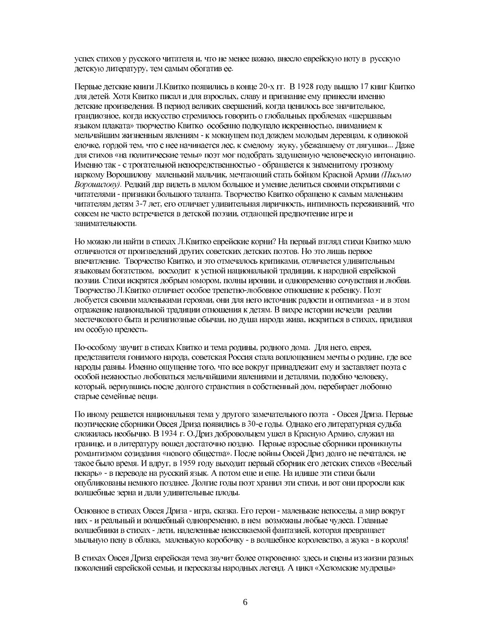успех стихов у русского читателя и, что не менее важно, внесло еврейскую ноту в русскую детскую литературу, тем самым обогатив ее.

Первые детские книги Л.Квитко появились в конце 20-х гг. В 1928 году вышло 17 книг Квитко для детей. Хотя Квитко писал и для взрослых, славу и признание ему принесли именно детские произведения. В период великих свершений, когда ценилось все значительное, грандиозное, когда искусство стремилось говорить о глобальных проблемах «шерщавым языком плаката» творчество Квитко особенно подкупало искренностью, вниманием к мельчайшим жизненным явлениям - к мокнущем под дождем молодым деревцам, к одинокой елочке, гордой тем, что с нее начинается лес, к смелому жуку, убежавшему от лягушки... Даже для стихов «на политические темы» поэт мог подобрать задушевную человеческую интонацию. Именно так - с трогательной непосредственностью - обращается к знаменитому грозному наркому Ворошилову маленький мальчик, мечтающий стать бойцом Красной Армии (Письмо Ворошилову). Редкий дар видеть в малом большое и умение делиться своими открытиями с читателями - признаки большого таланта. Творчество Квитко обращено к самым маленьким читателям детям 3-7 лет, его отличает удивительная лиричность, интимность переживаний, что совсем не часто встречается в детской поэзии, отдающей предпочтение игре и занимательности.

Но можно ли найти в стихах Л.Квитко еврейские корни? На первый взгляд стихи Квитко мало отличаются от произведений других советских детских поэтов. Но это лишь первое впечатление. Творчество Квитко, и это отмечалось критиками, отличается удивительным языковым богатством, восходит к устной национальной традиции, к народной еврейской поэзии. Стихи искрятся добрым юмором, полны иронии, и одновременно сочувствия и любви. Творчество Л. Квитко отличает особое трепетно-любовное отношение к ребенку. Поэт любуется своими маленькими героями, они для него источник радости и оптимизма - и в этом отражение национальной традиции отношения к детям. В вихре истории исчезли реалии местечкового быта и религиозные обычаи, но душа народа жива, искриться в стихах, придавая им особую прелесть.

По-особому звучит в стихах Квитко и тема родины, родного дома. Для него, еврея, представителя гонимого народа, советская Россия стала воплощением мечты о родине, где все народы равны. Именно ощущение того, что все вокруг принадлежит ему и заставляет поэта с особой нежностью любоваться мельчайшими явлениями и деталями, подобно человеку, который, вернувшись после долгого странствия в собственный дом, перебирает любовно старые семейные вещи.

По иному решается национальная тема у другого замечательного поэта - Овсея Дриза. Первые поэтические сборники Овсея Дриза появились в 30-е годы. Однако его литературная судьба сложилась необычно. В 1934 г. О.Дриз добровольцем ушел в Красную Армию, служил на границе, и в литературу вошел достаточно поздно. Первые взрослые сборники проникнуты романтизмом созидания «нового общества». После войны Овсей Дриз долго не печатался, не такое было время. И вдруг, в 1959 году выходит первый сборник его детских стихов «Веселый пекарь» - в переводе на русский язык. А потом еще и еще. На идише эти стихи были опубликованы немного позднее. Долгие годы поэт хранил эти стихи, и вот они проросли как волшебные зерна и дали удивительные плоды.

Основное в стихах Овсея Дриза - игра, сказка. Его герои - маленькие непоседы, а мир вокруг них - и реальный и волшебный одновременно, в нем возможны любые чудеса. Главные волшебники в стихах - дети, наделенные неиссякаемой фантазией, которая превращает мыльную пену в облака, маленькую коробочку - в волшебное королевство, а жука - в короля!

В стихах Овсея Дриза еврейская тема звучит более откровенно: здесь и сцены из жизни разных поколений еврейской семьи, и пересказы народных легенд. А цикл «Хеломские мудрецы»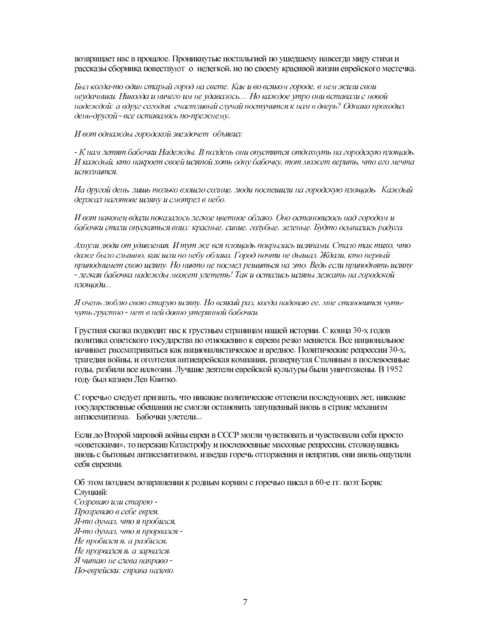возвращает нас в прошлое. Проникнутые ностальгией по ушедшему навсегда миру стихи и рассказы сборника повествуют о нелегкой, но по своему красивой жизни еврейского местечка.

Был когда-то один старый город на свете. Как и во всяком городе, в нем жили свои неудачники. Никогда и ничего им не удавалось.... Но каждое утро они вставали с новой надеждой: а вдруг сегодня счастливый случай постучится к нам в дверь? Однако проходил день-другой - все оставалось по-прежнему.

И вот однажды городской звездочет объявил:

- К нам летят бабочки Надежды. В полдень они опустятся отдохнуть на городскую площадь. И каждый, кто накроет своей шляпой хоть одну бабочку, тот может верить, что его мечта исполнится.

На другой день, лишь только взошло солнце, люди поспешили на городскую площадь. Каждый держал наготове шляпу и смотрел в небо.

И вот наконец вдали показалось легкое цветное облако. Оно остановилось над городом и бабочки стали опускаться вниз: красные, синие, голубые, зеленые. Будто осыпалась радуга.

Ахнули люди от удивления. И тут же вся площадь покрылась шляпами. Стало так тихо, что даже было слышно, как шли по небу облака. Город почти не дышал. Ждали, кто первый приподнимет свою шляпу. Но никто не посмел решиться на это. Ведь если приподнять шляпу - легкая бабочка надежды может улететь! Так и остались шляпы лежать на городской  $n$ *nouqadu*...

Я очень люблю свою старую шляпу. Но всякий раз, когда надеваю ее, мне становится чутьчуть грустно - нет в ней давно утерянной бабочки.

Грустная сказка подводит нас к грустным страницам нашей истории. С конца 30-х годов политика советского государства по отношению к евреям резко меняется. Все национальное начинает рассматриваться как националистическое и вредное. Политические репрессии 30-х, трагедия войны, и оголтелая антиеврейская компания, развернутая Сталиным в послевоенные годы, разбили все иллюзии. Лучшие деятели еврейской культуры были уничтожены. В 1952 году был казнен Лев Квитко.

С горечью следует признать, что никакие политические оттепели последующих лет, никакие государственные обещания не смогли остановить запущенный вновь в стране механизм антисемитизма. Бабочки улетели...

Если до Второй мировой войны евреи в СССР могли чувствовать и чувствовали себя просто «советскими», то пережив Катастрофу и послевоенные массовые репрессии, столкнувшись вновь с бытовым антисемитизмом, изведав горечь отторжения и непрятия, они вновь ощутили себя евреями.

Об этом позднем возвращении к родным корням с горечью писал в 60-е гг. поэт Борис Слуцкий: Созреваю или старею -Прозреваю в себе еврея.

Я-то думал, что я пробился, Я-то думал, что я прорвался -Не пробился я, а разбился, Не прорвался я, а зарвался. Я читаю не слева направо -По-еврейски: справа налево.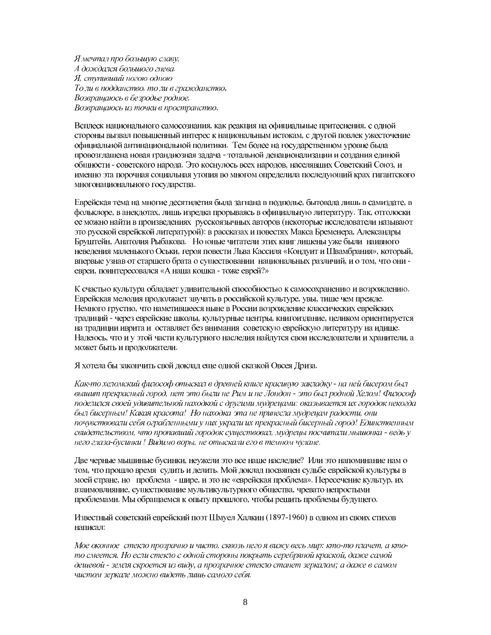Я мечтал про большую славу, А дождался большого гнева. Я, ступивший ногою одною То ли в подданство, то ли в гражданство, Возвращаюсь в безродье родное, Возвращаюсь из точки в пространство.

Всплеск национального самосознания, как реакция на официальные притеснения, с одной стороны вызвал повышенный интерес к национальным истокам, с другой повлек ужесточение официальной антинациональной политики. Тем более на государственном уровне была провозглашена новая грандиозная задача - тотальной денационализации и создания единой общности - советского народа. Это коснулось всех народов, населявших Советский Союз, и именно эта порочная социальная утопия во многом определила последующий крах гигантского многонационального государства.

Еврейская тема на многие десятилетия была загнана в подполье, бытовала лишь в самиздате, в фольклоре, в анекдотах, лишь изредка прорываясь в официальную литературу. Так, отголоски ее можно найти в произведениях русскоязычных авторов (некоторые исследователи называют это русской еврейской литературой): в рассказах и повестях Макса Бременера, Александры Бруштейн, Анатолия Рыбакова. Но юные читатели этих книг лишены уже были наивного неведения маленького Оськи, героя повести Льва Кассиля «Кондуит и Швамбрания», который, впервые узнав от старшего брата о существовании национальных различий, и о том, что они евреи, поинтересовался «А наша кошка - тоже еврей?»

К счастью культура обладает удивительной способностью к самосохранению и возрождению. Еврейская мелодия продолжает звучать в российской культуре, увы, тише чем прежде. Немного грустно, что наметившееся ныне в России возрождение классических еврейских традиций - через еврейские школы, культурные центры, книгоиздание, целиком ориентируется на традиции иврита и оставляет без внимания советскую еврейскую литературу на идише. Надеюсь, что и у этой части культурного наследия найдутся свои исследователи и хранители, а может быть и продолжатели.

Я хотела бы закончить свой доклад еще одной сказкой Овсея Дриза.

Как-то хеломский философ отыскал в древней книге красивую закладку - на ней бисером был вышит прекрасный город, нет это были не Рим и не Лондон - это был родной Хелом! Философ поделился своей удивительной находкой с другими мудрецами: оказывается их городок некогда был бисерным! Какая красота! Но находка эта не принесла мудрецам радости, они почувствовали себя ограбленными у них украли их прекрасный бисерный город! Единственным свидетельством, что пропавший городок существовал, мудрецы посчитали мышонка - ведь у него глаза-бусинки ! Видимо воры, не отыскали его в темном чулане.

Две черные мышиные бусинки, неужели это все наше наследие? Или это напоминание нам о том, что прошло время судить и делить. Мой доклад посвящен судьбе еврейской культуры в моей стране, но проблема - шире, и это не «еврейская проблема». Пересечение культур, их взаимовлияние, существование мультикультурного общества, чревато непростыми проблемами. Мы обращаемся к опыту прошлого, чтобы решить проблемы будущего.

Известный советский еврейский поэт Шмуел Халкин (1897-1960) в одном из своих стихов написал:

Мое оконное стекло прозрачно и чисто, сквозь него я вижу весь мир: кто-то плачет, а ктото смеется. Но если стекло с одной стороны покрыть серебряной краской, даже самой дешевой - земля скроется из виду, а прозрачное стекло станет зеркалом; а даже в самом чистом зеркале можно видеть лишь самого себя.